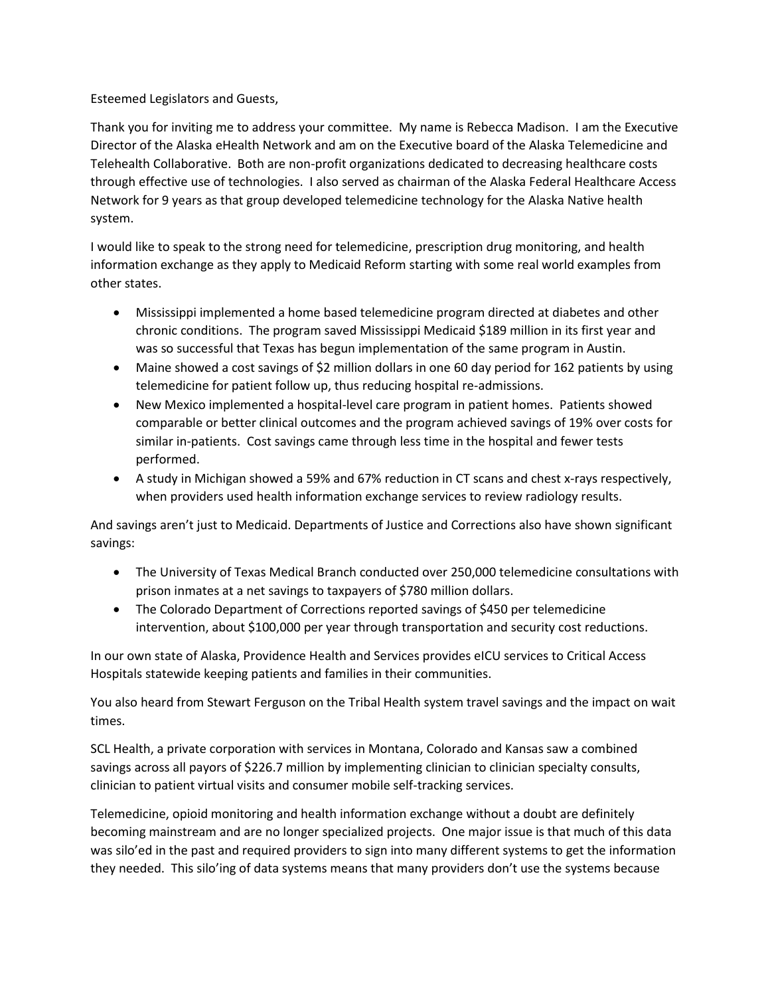Esteemed Legislators and Guests,

Thank you for inviting me to address your committee. My name is Rebecca Madison. I am the Executive Director of the Alaska eHealth Network and am on the Executive board of the Alaska Telemedicine and Telehealth Collaborative. Both are non-profit organizations dedicated to decreasing healthcare costs through effective use of technologies. I also served as chairman of the Alaska Federal Healthcare Access Network for 9 years as that group developed telemedicine technology for the Alaska Native health system.

I would like to speak to the strong need for telemedicine, prescription drug monitoring, and health information exchange as they apply to Medicaid Reform starting with some real world examples from other states.

- Mississippi implemented a home based telemedicine program directed at diabetes and other chronic conditions. The program saved Mississippi Medicaid \$189 million in its first year and was so successful that Texas has begun implementation of the same program in Austin.
- Maine showed a cost savings of \$2 million dollars in one 60 day period for 162 patients by using telemedicine for patient follow up, thus reducing hospital re-admissions.
- New Mexico implemented a hospital-level care program in patient homes. Patients showed comparable or better clinical outcomes and the program achieved savings of 19% over costs for similar in-patients. Cost savings came through less time in the hospital and fewer tests performed.
- A study in Michigan showed a 59% and 67% reduction in CT scans and chest x-rays respectively, when providers used health information exchange services to review radiology results.

And savings aren't just to Medicaid. Departments of Justice and Corrections also have shown significant savings:

- The University of Texas Medical Branch conducted over 250,000 telemedicine consultations with prison inmates at a net savings to taxpayers of \$780 million dollars.
- The Colorado Department of Corrections reported savings of \$450 per telemedicine intervention, about \$100,000 per year through transportation and security cost reductions.

In our own state of Alaska, Providence Health and Services provides eICU services to Critical Access Hospitals statewide keeping patients and families in their communities.

You also heard from Stewart Ferguson on the Tribal Health system travel savings and the impact on wait times.

SCL Health, a private corporation with services in Montana, Colorado and Kansas saw a combined savings across all payors of \$226.7 million by implementing clinician to clinician specialty consults, clinician to patient virtual visits and consumer mobile self-tracking services.

Telemedicine, opioid monitoring and health information exchange without a doubt are definitely becoming mainstream and are no longer specialized projects. One major issue is that much of this data was silo'ed in the past and required providers to sign into many different systems to get the information they needed. This silo'ing of data systems means that many providers don't use the systems because